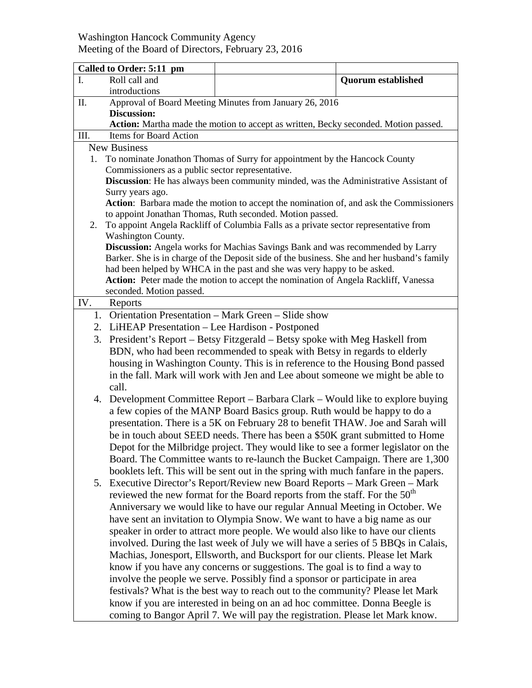## Washington Hancock Community Agency Meeting of the Board of Directors, February 23, 2016

|                                                                                     | Called to Order: 5:11 pm                                                                                                                                                            |                                                                                        |                           |  |  |
|-------------------------------------------------------------------------------------|-------------------------------------------------------------------------------------------------------------------------------------------------------------------------------------|----------------------------------------------------------------------------------------|---------------------------|--|--|
| $\mathbf{I}$ .                                                                      | Roll call and                                                                                                                                                                       |                                                                                        | <b>Quorum established</b> |  |  |
|                                                                                     | introductions                                                                                                                                                                       |                                                                                        |                           |  |  |
| П.                                                                                  |                                                                                                                                                                                     | Approval of Board Meeting Minutes from January 26, 2016                                |                           |  |  |
|                                                                                     | <b>Discussion:</b>                                                                                                                                                                  |                                                                                        |                           |  |  |
| Action: Martha made the motion to accept as written, Becky seconded. Motion passed. |                                                                                                                                                                                     |                                                                                        |                           |  |  |
| III.                                                                                | Items for Board Action                                                                                                                                                              |                                                                                        |                           |  |  |
| <b>New Business</b>                                                                 |                                                                                                                                                                                     |                                                                                        |                           |  |  |
| 1.                                                                                  | To nominate Jonathon Thomas of Surry for appointment by the Hancock County                                                                                                          |                                                                                        |                           |  |  |
|                                                                                     | Commissioners as a public sector representative.                                                                                                                                    |                                                                                        |                           |  |  |
|                                                                                     | Discussion: He has always been community minded, was the Administrative Assistant of                                                                                                |                                                                                        |                           |  |  |
|                                                                                     | Surry years ago.                                                                                                                                                                    |                                                                                        |                           |  |  |
|                                                                                     | Action: Barbara made the motion to accept the nomination of, and ask the Commissioners                                                                                              |                                                                                        |                           |  |  |
|                                                                                     | to appoint Jonathan Thomas, Ruth seconded. Motion passed.                                                                                                                           |                                                                                        |                           |  |  |
|                                                                                     | To appoint Angela Rackliff of Columbia Falls as a private sector representative from<br>2.                                                                                          |                                                                                        |                           |  |  |
|                                                                                     | <b>Washington County.</b>                                                                                                                                                           |                                                                                        |                           |  |  |
|                                                                                     | <b>Discussion:</b> Angela works for Machias Savings Bank and was recommended by Larry<br>Barker. She is in charge of the Deposit side of the business. She and her husband's family |                                                                                        |                           |  |  |
|                                                                                     | had been helped by WHCA in the past and she was very happy to be asked.                                                                                                             |                                                                                        |                           |  |  |
|                                                                                     | Action: Peter made the motion to accept the nomination of Angela Rackliff, Vanessa                                                                                                  |                                                                                        |                           |  |  |
|                                                                                     | seconded. Motion passed.                                                                                                                                                            |                                                                                        |                           |  |  |
| IV.                                                                                 | Reports                                                                                                                                                                             |                                                                                        |                           |  |  |
|                                                                                     | 1. Orientation Presentation - Mark Green - Slide show                                                                                                                               |                                                                                        |                           |  |  |
|                                                                                     | 2. LiHEAP Presentation – Lee Hardison - Postponed                                                                                                                                   |                                                                                        |                           |  |  |
|                                                                                     | 3. President's Report – Betsy Fitzgerald – Betsy spoke with Meg Haskell from                                                                                                        |                                                                                        |                           |  |  |
|                                                                                     | BDN, who had been recommended to speak with Betsy in regards to elderly                                                                                                             |                                                                                        |                           |  |  |
|                                                                                     | housing in Washington County. This is in reference to the Housing Bond passed                                                                                                       |                                                                                        |                           |  |  |
|                                                                                     | in the fall. Mark will work with Jen and Lee about someone we might be able to                                                                                                      |                                                                                        |                           |  |  |
|                                                                                     | call.                                                                                                                                                                               |                                                                                        |                           |  |  |
|                                                                                     |                                                                                                                                                                                     |                                                                                        |                           |  |  |
|                                                                                     | 4. Development Committee Report – Barbara Clark – Would like to explore buying                                                                                                      |                                                                                        |                           |  |  |
|                                                                                     | a few copies of the MANP Board Basics group. Ruth would be happy to do a                                                                                                            |                                                                                        |                           |  |  |
|                                                                                     | presentation. There is a 5K on February 28 to benefit THAW. Joe and Sarah will                                                                                                      |                                                                                        |                           |  |  |
|                                                                                     | be in touch about SEED needs. There has been a \$50K grant submitted to Home                                                                                                        |                                                                                        |                           |  |  |
|                                                                                     | Depot for the Milbridge project. They would like to see a former legislator on the<br>Board. The Committee wants to re-launch the Bucket Campaign. There are 1,300                  |                                                                                        |                           |  |  |
|                                                                                     |                                                                                                                                                                                     |                                                                                        |                           |  |  |
|                                                                                     |                                                                                                                                                                                     | booklets left. This will be sent out in the spring with much fanfare in the papers.    |                           |  |  |
| 5.                                                                                  |                                                                                                                                                                                     | Executive Director's Report/Review new Board Reports - Mark Green - Mark               |                           |  |  |
|                                                                                     |                                                                                                                                                                                     | reviewed the new format for the Board reports from the staff. For the 50 <sup>th</sup> |                           |  |  |
|                                                                                     |                                                                                                                                                                                     | Anniversary we would like to have our regular Annual Meeting in October. We            |                           |  |  |
|                                                                                     |                                                                                                                                                                                     | have sent an invitation to Olympia Snow. We want to have a big name as our             |                           |  |  |
|                                                                                     | speaker in order to attract more people. We would also like to have our clients                                                                                                     |                                                                                        |                           |  |  |
|                                                                                     | involved. During the last week of July we will have a series of 5 BBQs in Calais,                                                                                                   |                                                                                        |                           |  |  |
|                                                                                     | Machias, Jonesport, Ellsworth, and Bucksport for our clients. Please let Mark                                                                                                       |                                                                                        |                           |  |  |
|                                                                                     | know if you have any concerns or suggestions. The goal is to find a way to                                                                                                          |                                                                                        |                           |  |  |
|                                                                                     | involve the people we serve. Possibly find a sponsor or participate in area                                                                                                         |                                                                                        |                           |  |  |
|                                                                                     | festivals? What is the best way to reach out to the community? Please let Mark                                                                                                      |                                                                                        |                           |  |  |
|                                                                                     |                                                                                                                                                                                     | know if you are interested in being on an ad hoc committee. Donna Beegle is            |                           |  |  |
|                                                                                     |                                                                                                                                                                                     | coming to Bangor April 7. We will pay the registration. Please let Mark know.          |                           |  |  |